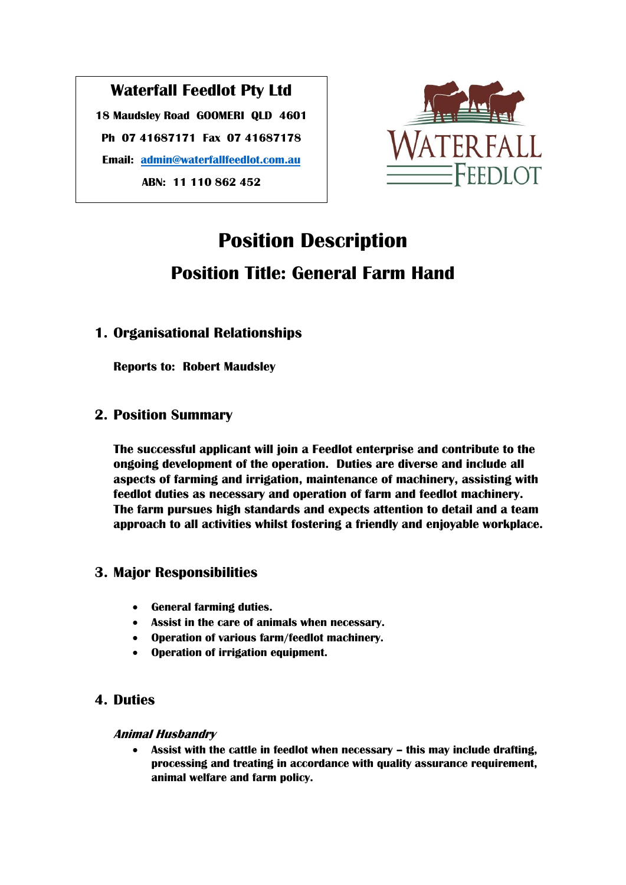## **Waterfall Feedlot Pty Ltd**

**18 Maudsley Road GOOMERI QLD 4601 Ph 07 41687171 Fax 07 41687178 Email: [admin@waterfallfeedlot.com.au](mailto:admin@waterfallfeedlot.com.au) ABN: 11 110 862 452**



# **Position Description Position Title: General Farm Hand**

## **1. Organisational Relationships**

**Reports to: Robert Maudsley**

## **2. Position Summary**

**The successful applicant will join a Feedlot enterprise and contribute to the ongoing development of the operation. Duties are diverse and include all aspects of farming and irrigation, maintenance of machinery, assisting with feedlot duties as necessary and operation of farm and feedlot machinery. The farm pursues high standards and expects attention to detail and a team approach to all activities whilst fostering a friendly and enjoyable workplace.**

## **3. Major Responsibilities**

- **General farming duties.**
- **Assist in the care of animals when necessary.**
- **Operation of various farm/feedlot machinery.**
- **Operation of irrigation equipment.**

## **4. Duties**

#### **Animal Husbandry**

**•** Assist with the cattle in feedlot when necessary – this may include drafting, **processing and treating in accordance with quality assurance requirement, animal welfare and farm policy.**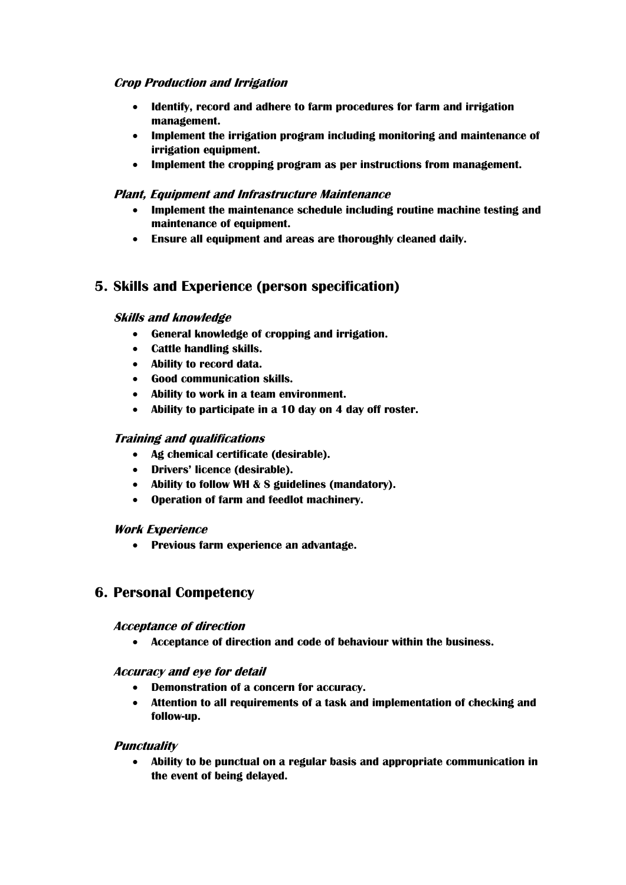#### **Crop Production and Irrigation**

- **Identify, record and adhere to farm procedures for farm and irrigation management.**
- **Implement the irrigation program including monitoring and maintenance of irrigation equipment.**
- **Implement the cropping program as per instructions from management.**

#### **Plant, Equipment and Infrastructure Maintenance**

- **Implement the maintenance schedule including routine machine testing and maintenance of equipment.**
- **Ensure all equipment and areas are thoroughly cleaned daily.**

## **5. Skills and Experience (person specification)**

#### **Skills and knowledge**

- **General knowledge of cropping and irrigation.**
- **Cattle handling skills.**
- **Ability to record data.**
- **Good communication skills.**
- **Ability to work in a team environment.**
- **Ability to participate in a 10 day on 4 day off roster.**

#### **Training and qualifications**

- **Ag chemical certificate (desirable).**
- **Drivers' licence (desirable).**
- **Ability to follow WH & S guidelines (mandatory).**
- **Operation of farm and feedlot machinery.**

#### **Work Experience**

**Previous farm experience an advantage.**

#### **6. Personal Competency**

#### **Acceptance of direction**

**Acceptance of direction and code of behaviour within the business.**

**Accuracy and eye for detail**

- **Demonstration of a concern for accuracy.**
- **Attention to all requirements of a task and implementation of checking and follow-up.**

#### **Punctuality**

 **Ability to be punctual on a regular basis and appropriate communication in the event of being delayed.**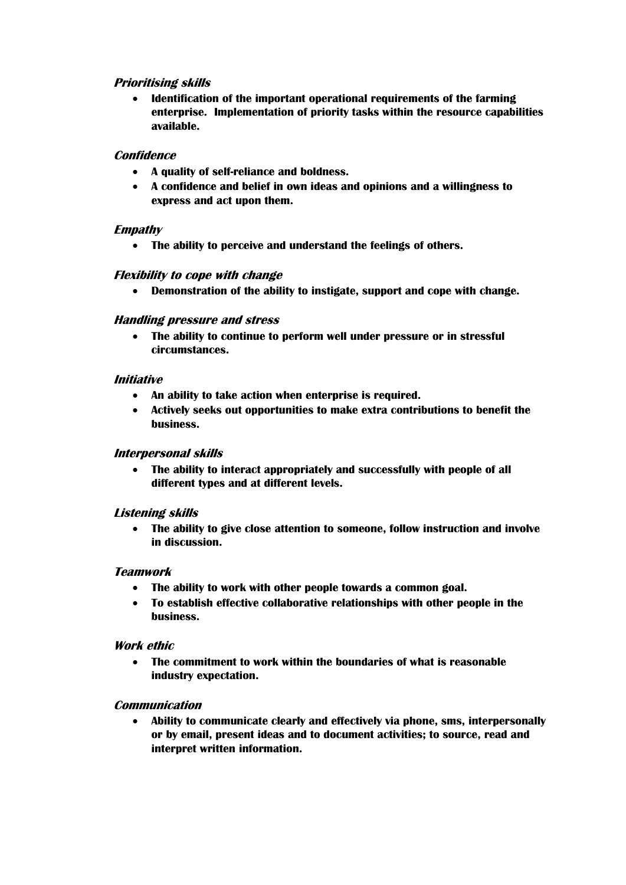#### **Prioritising skills**

 **Identification of the important operational requirements of the farming enterprise. Implementation of priority tasks within the resource capabilities available.**

#### **Confidence**

- **A quality of self-reliance and boldness.**
- **A confidence and belief in own ideas and opinions and a willingness to express and act upon them.**

#### **Empathy**

**The ability to perceive and understand the feelings of others.**

#### **Flexibility to cope with change**

**Demonstration of the ability to instigate, support and cope with change.**

#### **Handling pressure and stress**

 **The ability to continue to perform well under pressure or in stressful circumstances.**

#### **Initiative**

- **An ability to take action when enterprise is required.**
- **Actively seeks out opportunities to make extra contributions to benefit the business.**

#### **Interpersonal skills**

 **The ability to interact appropriately and successfully with people of all different types and at different levels.**

#### **Listening skills**

 **The ability to give close attention to someone, follow instruction and involve in discussion.**

#### **Teamwork**

- **The ability to work with other people towards a common goal.**
- **To establish effective collaborative relationships with other people in the business.**

#### **Work ethic**

 **The commitment to work within the boundaries of what is reasonable industry expectation.**

#### **Communication**

 **Ability to communicate clearly and effectively via phone, sms, interpersonally or by email, present ideas and to document activities; to source, read and interpret written information.**